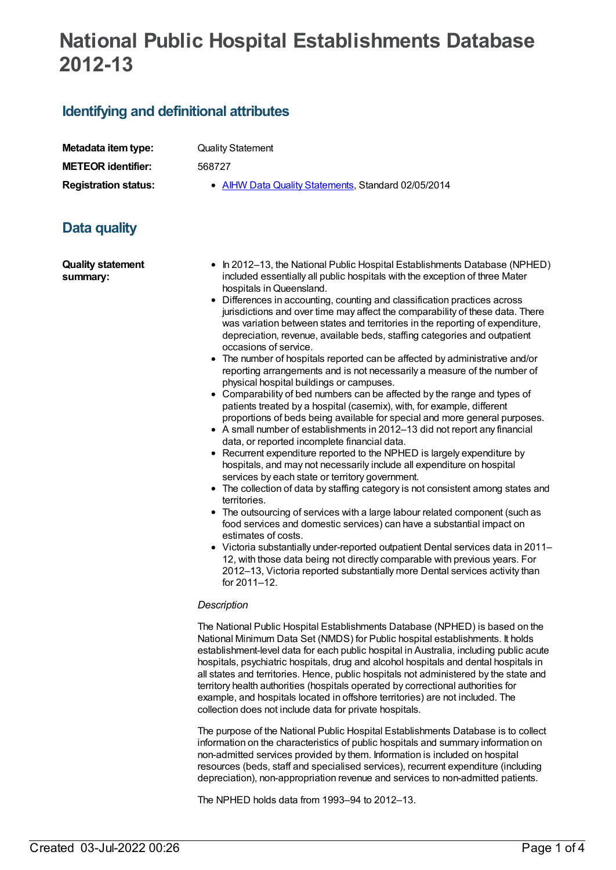# **National Public Hospital Establishments Database 2012-13**

### **Identifying and definitional attributes**

| Metadata item type:         |
|-----------------------------|
| <b>METEOR identifier:</b>   |
| <b>Registration status:</b> |

**Quality Statement** 

**METEOR identifier:** 568727

**AIHW Data Quality [Statements](https://meteor.aihw.gov.au/RegistrationAuthority/5), Standard 02/05/2014** 

## **Data quality**

**Quality statement summary:**

- In 2012–13, the National Public Hospital Establishments Database (NPHED) included essentially all public hospitals with the exception of three Mater hospitals inQueensland.
- Differences in accounting, counting and classification practices across jurisdictions and over time may affect the comparability of these data. There was variation between states and territories in the reporting of expenditure, depreciation, revenue, available beds, staffing categories and outpatient occasions of service.
- The number of hospitals reported can be affected by administrative and/or reporting arrangements and is not necessarily a measure of the number of physical hospital buildings or campuses.
- Comparability of bed numbers can be affected by the range and types of patients treated by a hospital (casemix), with, for example, different proportions of beds being available for special and more general purposes.
- A small number of establishments in 2012–13 did not report any financial data, or reported incomplete financial data.
- Recurrent expenditure reported to the NPHED is largely expenditure by hospitals, and may not necessarily include all expenditure on hospital services by each state or territory government.
- The collection of data by staffing category is not consistent among states and territories.
- The outsourcing of services with a large labour related component (such as food services and domestic services) can have a substantial impact on estimates of costs.
- Victoria substantially under-reported outpatient Dental services data in 2011– 12, with those data being not directly comparable with previous years. For 2012–13, Victoria reported substantially more Dental services activity than for 2011–12.

#### *Description*

The National Public Hospital Establishments Database (NPHED) is based on the National Minimum Data Set (NMDS) for Public hospital establishments. It holds establishment-level data for each public hospital in Australia, including public acute hospitals, psychiatric hospitals, drug and alcohol hospitals and dental hospitals in all states and territories. Hence, public hospitals not administered by the state and territory health authorities (hospitals operated by correctional authorities for example, and hospitals located in offshore territories) are not included. The collection does not include data for private hospitals.

The purpose of the National Public Hospital Establishments Database is to collect information on the characteristics of public hospitals and summary information on non-admitted services provided by them. Information is included on hospital resources (beds, staff and specialised services), recurrent expenditure (including depreciation), non-appropriation revenue and services to non-admitted patients.

The NPHED holds data from 1993–94 to 2012–13.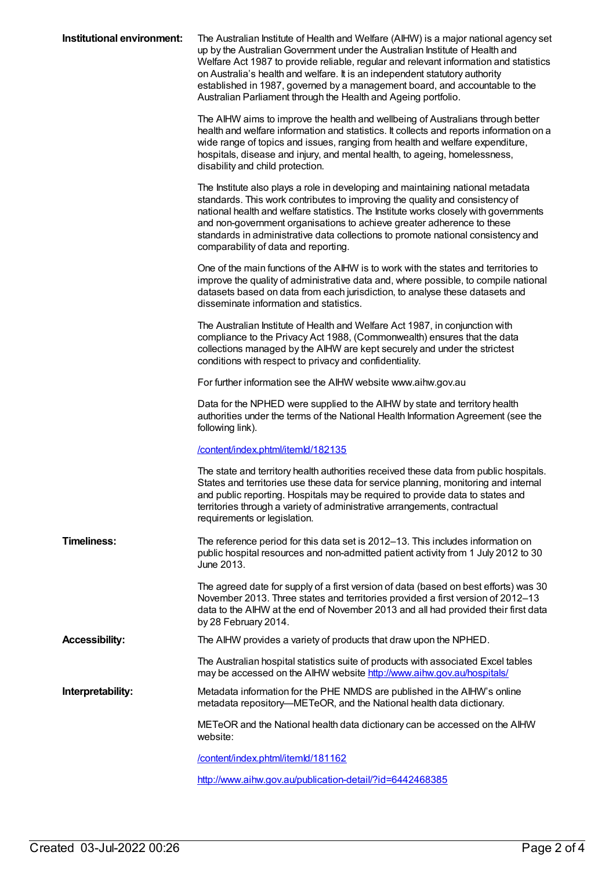| Institutional environment: | The Australian Institute of Health and Welfare (AIHW) is a major national agency set<br>up by the Australian Government under the Australian Institute of Health and<br>Welfare Act 1987 to provide reliable, regular and relevant information and statistics<br>on Australia's health and welfare. It is an independent statutory authority<br>established in 1987, governed by a management board, and accountable to the<br>Australian Parliament through the Health and Ageing portfolio. |
|----------------------------|-----------------------------------------------------------------------------------------------------------------------------------------------------------------------------------------------------------------------------------------------------------------------------------------------------------------------------------------------------------------------------------------------------------------------------------------------------------------------------------------------|
|                            | The AIHW aims to improve the health and wellbeing of Australians through better<br>health and welfare information and statistics. It collects and reports information on a<br>wide range of topics and issues, ranging from health and welfare expenditure,<br>hospitals, disease and injury, and mental health, to ageing, homelessness,<br>disability and child protection.                                                                                                                 |
|                            | The Institute also plays a role in developing and maintaining national metadata<br>standards. This work contributes to improving the quality and consistency of<br>national health and welfare statistics. The Institute works closely with governments<br>and non-government organisations to achieve greater adherence to these<br>standards in administrative data collections to promote national consistency and<br>comparability of data and reporting.                                 |
|                            | One of the main functions of the AIHW is to work with the states and territories to<br>improve the quality of administrative data and, where possible, to compile national<br>datasets based on data from each jurisdiction, to analyse these datasets and<br>disseminate information and statistics.                                                                                                                                                                                         |
|                            | The Australian Institute of Health and Welfare Act 1987, in conjunction with<br>compliance to the Privacy Act 1988, (Commonwealth) ensures that the data<br>collections managed by the AIHW are kept securely and under the strictest<br>conditions with respect to privacy and confidentiality.                                                                                                                                                                                              |
|                            | For further information see the AIHW website www.aihw.gov.au                                                                                                                                                                                                                                                                                                                                                                                                                                  |
|                            | Data for the NPHED were supplied to the AIHW by state and territory health<br>authorities under the terms of the National Health Information Agreement (see the<br>following link).                                                                                                                                                                                                                                                                                                           |
|                            | /content/index.phtml/itemld/182135                                                                                                                                                                                                                                                                                                                                                                                                                                                            |
|                            | The state and territory health authorities received these data from public hospitals.<br>States and territories use these data for service planning, monitoring and internal<br>and public reporting. Hospitals may be required to provide data to states and<br>territories through a variety of administrative arrangements, contractual<br>requirements or legislation.                                                                                                                    |
| <b>Timeliness:</b>         | The reference period for this data set is 2012-13. This includes information on<br>public hospital resources and non-admitted patient activity from 1 July 2012 to 30<br>June 2013.                                                                                                                                                                                                                                                                                                           |
|                            | The agreed date for supply of a first version of data (based on best efforts) was 30<br>November 2013. Three states and territories provided a first version of 2012-13<br>data to the AIHW at the end of November 2013 and all had provided their first data<br>by 28 February 2014.                                                                                                                                                                                                         |
| <b>Accessibility:</b>      | The AIHW provides a variety of products that draw upon the NPHED.                                                                                                                                                                                                                                                                                                                                                                                                                             |
|                            | The Australian hospital statistics suite of products with associated Excel tables<br>may be accessed on the AIHW website http://www.aihw.gov.au/hospitals/                                                                                                                                                                                                                                                                                                                                    |
| Interpretability:          | Metadata information for the PHE NMDS are published in the AIHW's online<br>metadata repository—METeOR, and the National health data dictionary.                                                                                                                                                                                                                                                                                                                                              |
|                            | METeOR and the National health data dictionary can be accessed on the AIHW<br>website:                                                                                                                                                                                                                                                                                                                                                                                                        |
|                            | /content/index.phtml/itemld/181162                                                                                                                                                                                                                                                                                                                                                                                                                                                            |
|                            | http://www.aihw.gov.au/publication-detail/?id=6442468385                                                                                                                                                                                                                                                                                                                                                                                                                                      |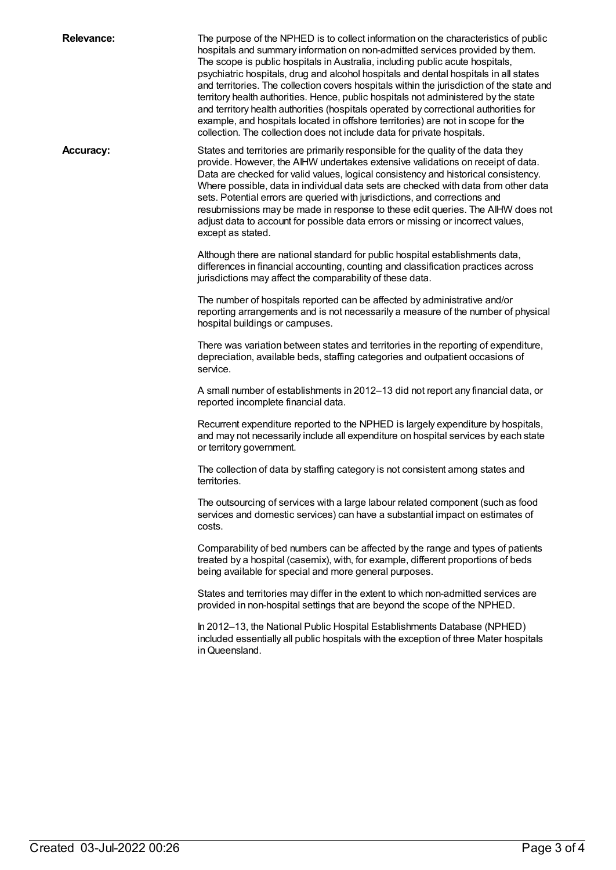**Relevance:** The purpose of the NPHED is to collect information on the characteristics of public hospitals and summary information on non-admitted services provided by them. The scope is public hospitals in Australia, including public acute hospitals, psychiatric hospitals, drug and alcohol hospitals and dental hospitals in all states and territories. The collection covers hospitals within the jurisdiction of the state and territory health authorities. Hence, public hospitals not administered by the state and territory health authorities (hospitals operated by correctional authorities for example, and hospitals located in offshore territories) are not in scope for the collection. The collection does not include data for private hospitals.

**Accuracy:** States and territories are primarily responsible for the quality of the data they provide. However, the AIHW undertakes extensive validations on receipt of data. Data are checked for valid values, logical consistency and historical consistency. Where possible, data in individual data sets are checked with data from other data sets. Potential errors are queried with jurisdictions, and corrections and resubmissions may be made in response to these edit queries. The AIHW does not adjust data to account for possible data errors or missing or incorrect values, except as stated.

> Although there are national standard for public hospital establishments data, differences in financial accounting, counting and classification practices across jurisdictions may affect the comparability of these data.

The number of hospitals reported can be affected by administrative and/or reporting arrangements and is not necessarily a measure of the number of physical hospital buildings or campuses.

There was variation between states and territories in the reporting of expenditure, depreciation, available beds, staffing categories and outpatient occasions of service.

A small number of establishments in 2012–13 did not report any financial data, or reported incomplete financial data.

Recurrent expenditure reported to the NPHED is largely expenditure by hospitals, and may not necessarily include all expenditure on hospital services by each state or territory government.

The collection of data by staffing category is not consistent among states and territories.

The outsourcing of services with a large labour related component (such as food services and domestic services) can have a substantial impact on estimates of costs.

Comparability of bed numbers can be affected by the range and types of patients treated by a hospital (casemix), with, for example, different proportions of beds being available for special and more general purposes.

States and territories may differ in the extent to which non-admitted services are provided in non-hospital settings that are beyond the scope of the NPHED.

In 2012–13, the National Public Hospital Establishments Database (NPHED) included essentially all public hospitals with the exception of three Mater hospitals in Queensland.